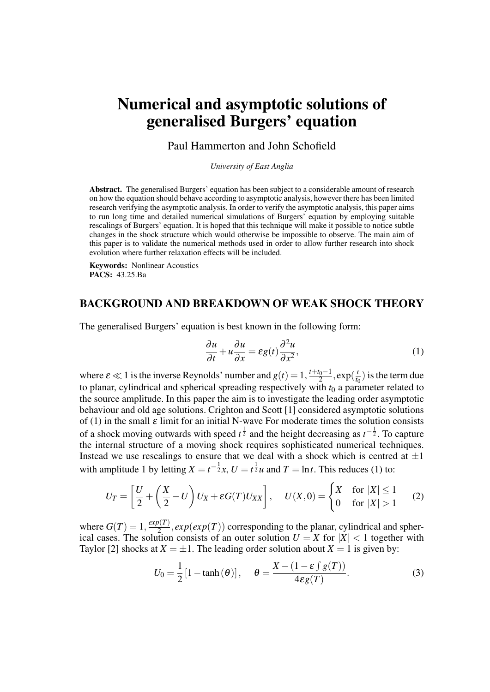# Numerical and asymptotic solutions of generalised Burgers' equation

Paul Hammerton and John Schofield

*University of East Anglia*

Abstract. The generalised Burgers' equation has been subject to a considerable amount of research on how the equation should behave according to asymptotic analysis, however there has been limited research verifying the asymptotic analysis. In order to verify the asymptotic analysis, this paper aims to run long time and detailed numerical simulations of Burgers' equation by employing suitable rescalings of Burgers' equation. It is hoped that this technique will make it possible to notice subtle changes in the shock structure which would otherwise be impossible to observe. The main aim of this paper is to validate the numerical methods used in order to allow further research into shock evolution where further relaxation effects will be included.

Keywords: Nonlinear Acoustics PACS: 43.25.Ba

### BACKGROUND AND BREAKDOWN OF WEAK SHOCK THEORY

The generalised Burgers' equation is best known in the following form:

$$
\frac{\partial u}{\partial t} + u \frac{\partial u}{\partial x} = \varepsilon g(t) \frac{\partial^2 u}{\partial x^2},\tag{1}
$$

where  $\varepsilon \ll 1$  is the inverse Reynolds' number and  $g(t) = 1, \frac{t+t_0-1}{2}$  $\frac{t_0-1}{2}, \exp(\frac{t}{t_0})$  $\frac{t}{t_0}$ ) is the term due to planar, cylindrical and spherical spreading respectively with  $t_0$  a parameter related to the source amplitude. In this paper the aim is to investigate the leading order asymptotic behaviour and old age solutions. Crighton and Scott [1] considered asymptotic solutions of (1) in the small  $\varepsilon$  limit for an initial N-wave For moderate times the solution consists of a shock moving outwards with speed  $t^{\frac{1}{2}}$  and the height decreasing as  $t^{-\frac{1}{2}}$ . To capture the internal structure of a moving shock requires sophisticated numerical techniques. Instead we use rescalings to ensure that we deal with a shock which is centred at  $\pm 1$ with amplitude 1 by letting  $X = t^{-\frac{1}{2}}x$ ,  $U = t^{\frac{1}{2}}u$  and  $T = \ln t$ . This reduces (1) to:

$$
U_T = \left[\frac{U}{2} + \left(\frac{X}{2} - U\right)U_X + \varepsilon G(T)U_{XX}\right], \quad U(X,0) = \begin{cases} X & \text{for } |X| \le 1 \\ 0 & \text{for } |X| > 1 \end{cases} \tag{2}
$$

where  $G(T) = 1, \frac{exp(T)}{2}$  $\frac{2(1)}{2}$ ,  $exp(exp(T))$  corresponding to the planar, cylindrical and spherical cases. The solution consists of an outer solution  $U = X$  for  $|X| < 1$  together with Taylor [2] shocks at  $X = \pm 1$ . The leading order solution about  $X = 1$  is given by:

$$
U_0 = \frac{1}{2} \left[ 1 - \tanh(\theta) \right], \quad \theta = \frac{X - (1 - \varepsilon \int g(T))}{4\varepsilon g(T)}.
$$
 (3)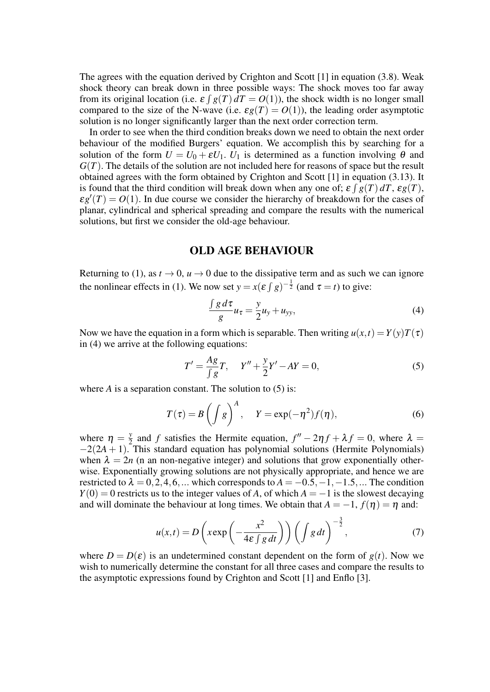The agrees with the equation derived by Crighton and Scott [1] in equation (3.8). Weak shock theory can break down in three possible ways: The shock moves too far away from its original location (i.e.  $\mathcal{E} \int g(T) dT = O(1)$ ), the shock width is no longer small compared to the size of the N-wave (i.e.  $\varepsilon g(T) = O(1)$ ), the leading order asymptotic solution is no longer significantly larger than the next order correction term.

In order to see when the third condition breaks down we need to obtain the next order behaviour of the modified Burgers' equation. We accomplish this by searching for a solution of the form  $U = U_0 + \varepsilon U_1$ .  $U_1$  is determined as a function involving  $\theta$  and *G*(*T*). The details of the solution are not included here for reasons of space but the result obtained agrees with the form obtained by Crighton and Scott [1] in equation (3.13). It is found that the third condition will break down when any one of;  $\varepsilon \int g(T) dT$ ,  $\varepsilon g(T)$ ,  $\epsilon g'(T) = O(1)$ . In due course we consider the hierarchy of breakdown for the cases of planar, cylindrical and spherical spreading and compare the results with the numerical solutions, but first we consider the old-age behaviour.

#### OLD AGE BEHAVIOUR

Returning to (1), as  $t \to 0$ ,  $u \to 0$  due to the dissipative term and as such we can ignore the nonlinear effects in (1). We now set  $y = x(\varepsilon \int g)^{-\frac{1}{2}}$  (and  $\tau = t$ ) to give:

$$
\frac{\int g d\tau}{g} u_{\tau} = \frac{y}{2} u_{y} + u_{yy},\tag{4}
$$

Now we have the equation in a form which is separable. Then writing  $u(x,t) = Y(y)T(\tau)$ in (4) we arrive at the following equations:

$$
T' = \frac{Ag}{\int g}T, \quad Y'' + \frac{y}{2}Y' - AY = 0,\tag{5}
$$

where  $A$  is a separation constant. The solution to  $(5)$  is:

$$
T(\tau) = B\left(\int g\right)^A, \quad Y = \exp(-\eta^2)f(\eta), \tag{6}
$$

where  $\eta = \frac{y}{2}$  $\frac{y}{2}$  and *f* satisfies the Hermite equation,  $f'' - 2\eta f + \lambda f = 0$ , where  $\lambda =$  $-2(2A + 1)$ . This standard equation has polynomial solutions (Hermite Polynomials) when  $\lambda = 2n$  (n an non-negative integer) and solutions that grow exponentially otherwise. Exponentially growing solutions are not physically appropriate, and hence we are restricted to  $\lambda = 0, 2, 4, 6, \dots$  which corresponds to  $A = -0.5, -1, -1.5, \dots$  The condition  $Y(0) = 0$  restricts us to the integer values of *A*, of which  $A = -1$  is the slowest decaying and will dominate the behaviour at long times. We obtain that  $A = -1$ ,  $f(\eta) = \eta$  and:

$$
u(x,t) = D\left(x \exp\left(-\frac{x^2}{4\varepsilon \int g dt}\right)\right) \left(\int g dt\right)^{-\frac{3}{2}},\tag{7}
$$

where  $D = D(\varepsilon)$  is an undetermined constant dependent on the form of  $g(t)$ . Now we wish to numerically determine the constant for all three cases and compare the results to the asymptotic expressions found by Crighton and Scott [1] and Enflo [3].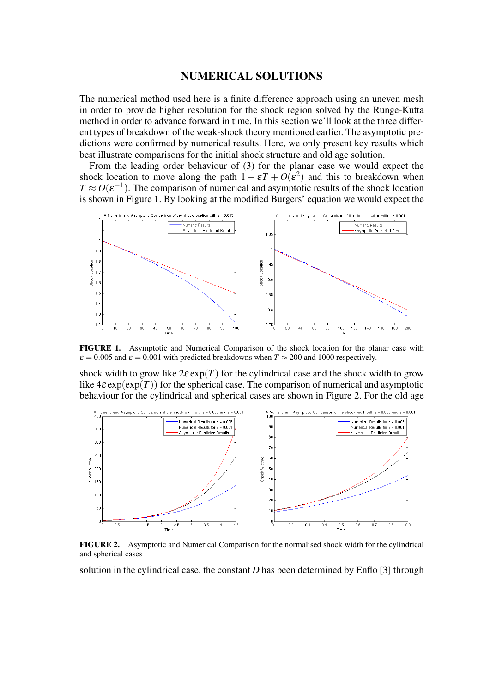## NUMERICAL SOLUTIONS

The numerical method used here is a finite difference approach using an uneven mesh in order to provide higher resolution for the shock region solved by the Runge-Kutta method in order to advance forward in time. In this section we'll look at the three different types of breakdown of the weak-shock theory mentioned earlier. The asymptotic predictions were confirmed by numerical results. Here, we only present key results which best illustrate comparisons for the initial shock structure and old age solution.

From the leading order behaviour of (3) for the planar case we would expect the shock location to move along the path  $1 - \varepsilon T + O(\varepsilon^2)$  and this to breakdown when  $T \approx O(\varepsilon^{-1})$ . The comparison of numerical and asymptotic results of the shock location is shown in Figure 1. By looking at the modified Burgers' equation we would expect the



FIGURE 1. Asymptotic and Numerical Comparison of the shock location for the planar case with  $\varepsilon = 0.005$  and  $\varepsilon = 0.001$  with predicted breakdowns when  $T \approx 200$  and 1000 respectively.

shock width to grow like  $2\varepsilon \exp(T)$  for the cylindrical case and the shock width to grow like  $4\varepsilon \exp(\exp(T))$  for the spherical case. The comparison of numerical and asymptotic behaviour for the cylindrical and spherical cases are shown in Figure 2. For the old age



FIGURE 2. Asymptotic and Numerical Comparison for the normalised shock width for the cylindrical and spherical cases

solution in the cylindrical case, the constant *D* has been determined by Enflo [3] through